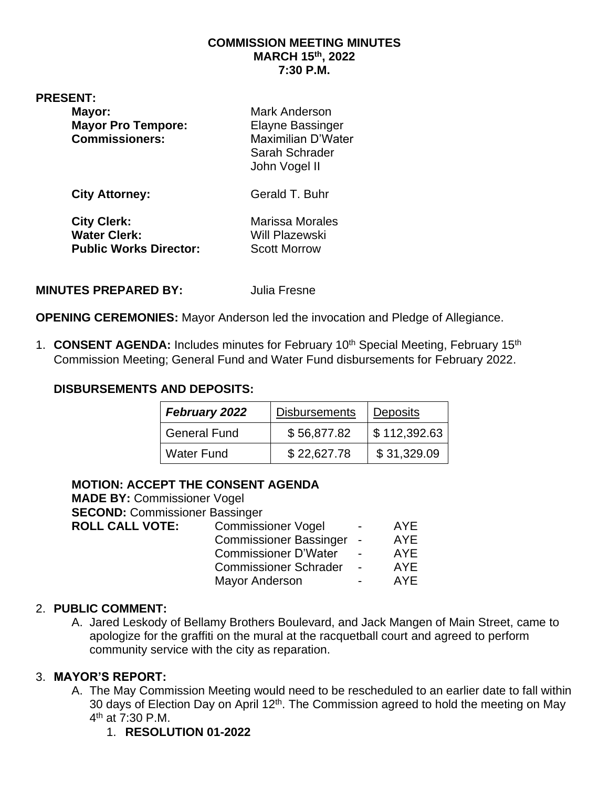#### **COMMISSION MEETING MINUTES MARCH 15th, 2022 7:30 P.M.**

**PRESENT:** 

| Mayor:<br><b>Mayor Pro Tempore:</b><br><b>Commissioners:</b> | <b>Mark Anderson</b><br><b>Elayne Bassinger</b><br><b>Maximilian D'Water</b><br>Sarah Schrader<br>John Vogel II |
|--------------------------------------------------------------|-----------------------------------------------------------------------------------------------------------------|
| <b>City Attorney:</b>                                        | Gerald T. Buhr                                                                                                  |
| <b>City Clerk:</b><br><b>Water Clerk:</b>                    | <b>Marissa Morales</b><br>Will Plazewski                                                                        |

**Public Works Director:** Scott Morrow

**MINUTES PREPARED BY:** Julia Fresne

**OPENING CEREMONIES:** Mayor Anderson led the invocation and Pledge of Allegiance.

1. **CONSENT AGENDA:** Includes minutes for February 10<sup>th</sup> Special Meeting, February 15<sup>th</sup> Commission Meeting; General Fund and Water Fund disbursements for February 2022.

### **DISBURSEMENTS AND DEPOSITS:**

| February 2022       | <b>Disbursements</b> | <b>Deposits</b> |
|---------------------|----------------------|-----------------|
| <b>General Fund</b> | \$56,877.82          | \$112,392.63    |
| <b>Water Fund</b>   | \$22,627.78          | \$31,329.09     |

#### **MOTION: ACCEPT THE CONSENT AGENDA**

| <b>MADE BY: Commissioner Vogel</b>    |                               |                          |            |
|---------------------------------------|-------------------------------|--------------------------|------------|
| <b>SECOND: Commissioner Bassinger</b> |                               |                          |            |
| <b>ROLL CALL VOTE:</b>                | <b>Commissioner Vogel</b>     | $\blacksquare$           | AYE        |
|                                       | <b>Commissioner Bassinger</b> | $\overline{\phantom{a}}$ | <b>AYE</b> |
|                                       | <b>Commissioner D'Water</b>   | $\blacksquare$           | <b>AYE</b> |
|                                       | <b>Commissioner Schrader</b>  | $\blacksquare$           | <b>AYE</b> |
|                                       | <b>Mayor Anderson</b>         |                          | AYE        |
|                                       |                               |                          |            |

#### 2. **PUBLIC COMMENT:**

A. Jared Leskody of Bellamy Brothers Boulevard, and Jack Mangen of Main Street, came to apologize for the graffiti on the mural at the racquetball court and agreed to perform community service with the city as reparation.

## 3. **MAYOR'S REPORT:**

- A. The May Commission Meeting would need to be rescheduled to an earlier date to fall within 30 days of Election Day on April 12<sup>th</sup>. The Commission agreed to hold the meeting on May 4<sup>th</sup> at 7:30 P.M.
	- 1. **RESOLUTION 01-2022**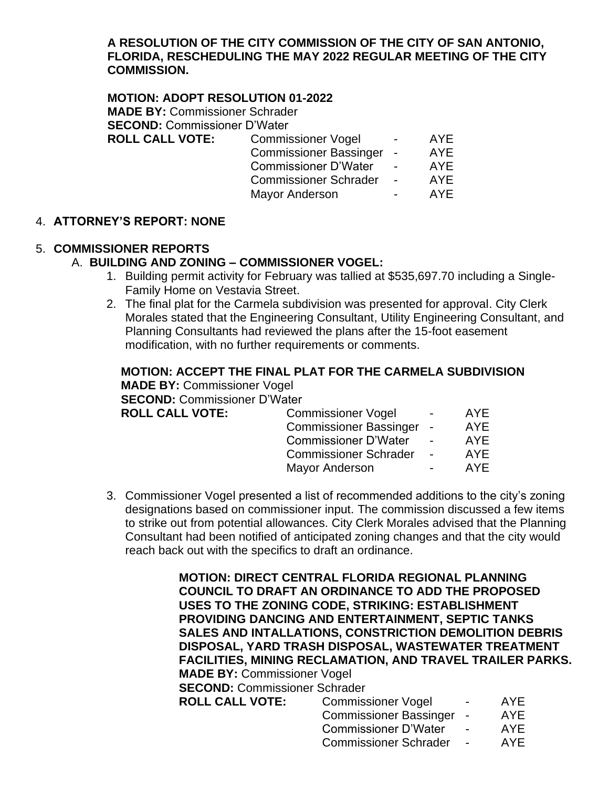#### **A RESOLUTION OF THE CITY COMMISSION OF THE CITY OF SAN ANTONIO, FLORIDA, RESCHEDULING THE MAY 2022 REGULAR MEETING OF THE CITY COMMISSION.**

**MOTION: ADOPT RESOLUTION 01-2022 MADE BY:** Commissioner Schrader **SECOND:** Commissioner D'Water **ROLL CALL VOTE:** Commissioner Vogel - AYE Commissioner Bassinger - AYE Commissioner D'Water - AYE Commissioner Schrader - AYE

Mayor Anderson The Sea AYE

# 4. **ATTORNEY'S REPORT: NONE**

## 5. **COMMISSIONER REPORTS**

## A. **BUILDING AND ZONING – COMMISSIONER VOGEL:**

- 1. Building permit activity for February was tallied at \$535,697.70 including a Single-Family Home on Vestavia Street.
- 2. The final plat for the Carmela subdivision was presented for approval. City Clerk Morales stated that the Engineering Consultant, Utility Engineering Consultant, and Planning Consultants had reviewed the plans after the 15-foot easement modification, with no further requirements or comments.

|                                     | MOTION: ACCEPT THE FINAL PLAT FOR THE CARMELA SUBDIVISION |                 |            |  |
|-------------------------------------|-----------------------------------------------------------|-----------------|------------|--|
| <b>MADE BY: Commissioner Vogel</b>  |                                                           |                 |            |  |
| <b>SECOND: Commissioner D'Water</b> |                                                           |                 |            |  |
| <b>ROLL CALL VOTE:</b>              | <b>Commissioner Vogel</b>                                 | $\sim$ 10 $\pm$ | AYE        |  |
|                                     | Commissioner Bassinger -                                  |                 | <b>AYE</b> |  |
|                                     | Commissioner D'Water -                                    |                 | AYF        |  |

3. Commissioner Vogel presented a list of recommended additions to the city's zoning designations based on commissioner input. The commission discussed a few items to strike out from potential allowances. City Clerk Morales advised that the Planning Consultant had been notified of anticipated zoning changes and that the city would reach back out with the specifics to draft an ordinance.

> **MOTION: DIRECT CENTRAL FLORIDA REGIONAL PLANNING COUNCIL TO DRAFT AN ORDINANCE TO ADD THE PROPOSED USES TO THE ZONING CODE, STRIKING: ESTABLISHMENT PROVIDING DANCING AND ENTERTAINMENT, SEPTIC TANKS SALES AND INTALLATIONS, CONSTRICTION DEMOLITION DEBRIS DISPOSAL, YARD TRASH DISPOSAL, WASTEWATER TREATMENT FACILITIES, MINING RECLAMATION, AND TRAVEL TRAILER PARKS. MADE BY:** Commissioner Vogel **SECOND:** Commissioner Schrader **ROLL CALL VOTE:** Commissioner Vogel - AYE Commissioner Bassinger - AYE

Commissioner Schrader - AYE Mayor Anderson **Face AME** 

> Commissioner D'Water - AYE Commissioner Schrader - AYE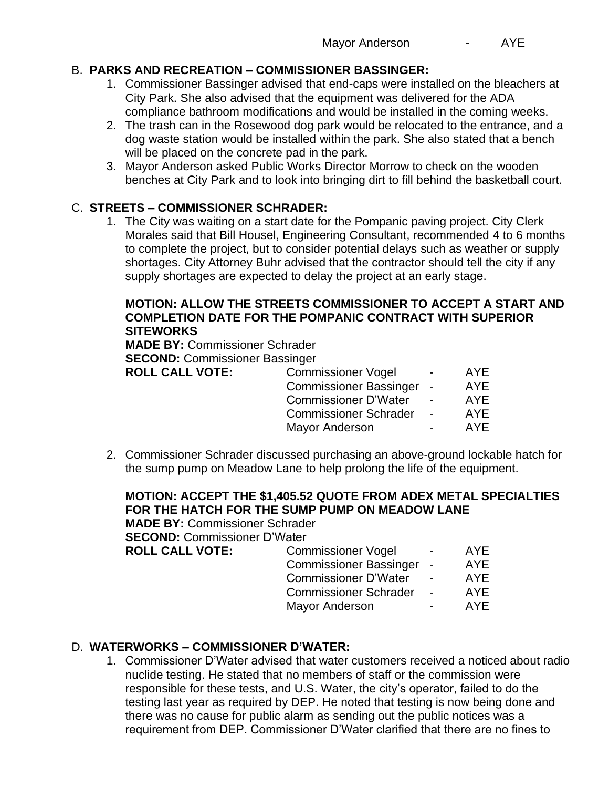# B. **PARKS AND RECREATION – COMMISSIONER BASSINGER:**

- 1. Commissioner Bassinger advised that end-caps were installed on the bleachers at City Park. She also advised that the equipment was delivered for the ADA compliance bathroom modifications and would be installed in the coming weeks.
- 2. The trash can in the Rosewood dog park would be relocated to the entrance, and a dog waste station would be installed within the park. She also stated that a bench will be placed on the concrete pad in the park.
- 3. Mayor Anderson asked Public Works Director Morrow to check on the wooden benches at City Park and to look into bringing dirt to fill behind the basketball court.

# C. **STREETS – COMMISSIONER SCHRADER:**

1. The City was waiting on a start date for the Pompanic paving project. City Clerk Morales said that Bill Housel, Engineering Consultant, recommended 4 to 6 months to complete the project, but to consider potential delays such as weather or supply shortages. City Attorney Buhr advised that the contractor should tell the city if any supply shortages are expected to delay the project at an early stage.

#### **MOTION: ALLOW THE STREETS COMMISSIONER TO ACCEPT A START AND COMPLETION DATE FOR THE POMPANIC CONTRACT WITH SUPERIOR SITEWORKS**

**MADE BY:** Commissioner Schrader

**SECOND:** Commissioner Bassinger

| <b>ROLL CALL VOTE:</b> | <b>Commissioner Vogel</b>    | $\sim$                   | AYE        |
|------------------------|------------------------------|--------------------------|------------|
|                        | Commissioner Bassinger -     |                          | <b>AYE</b> |
|                        | <b>Commissioner D'Water</b>  |                          | AYE        |
|                        | <b>Commissioner Schrader</b> | $\sim$                   | AYE        |
|                        | Mayor Anderson               | $\overline{\phantom{0}}$ | AYE        |

2. Commissioner Schrader discussed purchasing an above-ground lockable hatch for the sump pump on Meadow Lane to help prolong the life of the equipment.

# **MOTION: ACCEPT THE \$1,405.52 QUOTE FROM ADEX METAL SPECIALTIES FOR THE HATCH FOR THE SUMP PUMP ON MEADOW LANE**

**MADE BY:** Commissioner Schrader

**SECOND:** Commissioner D'Water

| <b>ROLL CALL VOTE:</b> | <b>Commissioner Vogel</b>    | $\sim$ | AYE        |
|------------------------|------------------------------|--------|------------|
|                        | Commissioner Bassinger -     |        | <b>AYE</b> |
|                        | <b>Commissioner D'Water</b>  |        | <b>AYE</b> |
|                        | <b>Commissioner Schrader</b> |        | <b>AYE</b> |
|                        | Mayor Anderson               |        | AYE        |
|                        |                              |        |            |

# D. **WATERWORKS – COMMISSIONER D'WATER:**

1. Commissioner D'Water advised that water customers received a noticed about radio nuclide testing. He stated that no members of staff or the commission were responsible for these tests, and U.S. Water, the city's operator, failed to do the testing last year as required by DEP. He noted that testing is now being done and there was no cause for public alarm as sending out the public notices was a requirement from DEP. Commissioner D'Water clarified that there are no fines to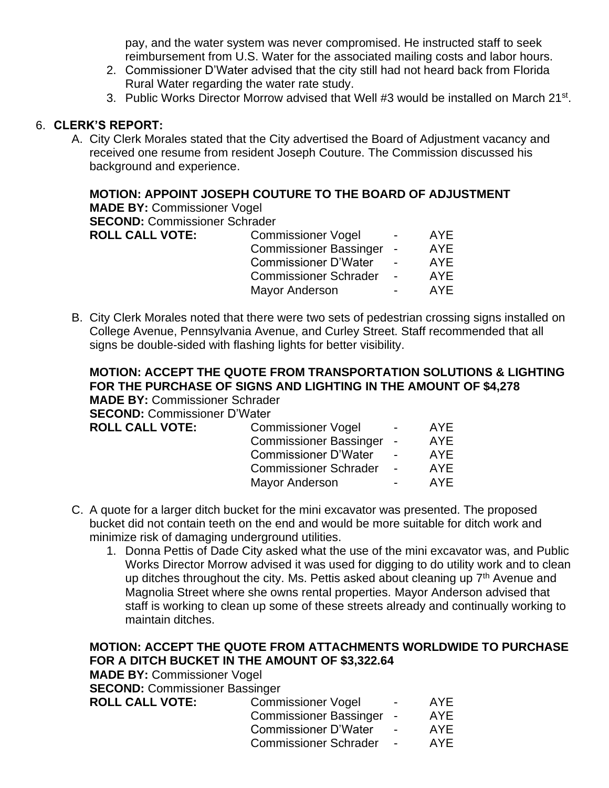pay, and the water system was never compromised. He instructed staff to seek reimbursement from U.S. Water for the associated mailing costs and labor hours.

- 2. Commissioner D'Water advised that the city still had not heard back from Florida Rural Water regarding the water rate study.
- 3. Public Works Director Morrow advised that Well #3 would be installed on March 21<sup>st</sup>.

### 6. **CLERK'S REPORT:**

A. City Clerk Morales stated that the City advertised the Board of Adjustment vacancy and received one resume from resident Joseph Couture. The Commission discussed his background and experience.

## **MOTION: APPOINT JOSEPH COUTURE TO THE BOARD OF ADJUSTMENT**

**MADE BY:** Commissioner Vogel **SECOND:** Commissioner Schrader

| <b>ROLL CALL VOTE:</b> | <b>Commissioner Vogel</b>     | $\blacksquare$ | AYE  |
|------------------------|-------------------------------|----------------|------|
|                        | <b>Commissioner Bassinger</b> | $\sim$         | AYE. |
|                        | <b>Commissioner D'Water</b>   | $\blacksquare$ | AYE. |
|                        | <b>Commissioner Schrader</b>  | $\blacksquare$ | AYE. |
|                        | <b>Mayor Anderson</b>         | $\blacksquare$ | AYF  |
|                        |                               |                |      |

B. City Clerk Morales noted that there were two sets of pedestrian crossing signs installed on College Avenue, Pennsylvania Avenue, and Curley Street. Staff recommended that all signs be double-sided with flashing lights for better visibility.

**MOTION: ACCEPT THE QUOTE FROM TRANSPORTATION SOLUTIONS & LIGHTING FOR THE PURCHASE OF SIGNS AND LIGHTING IN THE AMOUNT OF \$4,278 MADE BY:** Commissioner Schrader

**SECOND:** Commissioner D'Water

| <b>Commissioner Vogel</b>     | $\blacksquare$           | AYE.       |
|-------------------------------|--------------------------|------------|
| <b>Commissioner Bassinger</b> |                          | AYE.       |
| <b>Commissioner D'Water</b>   | $\blacksquare$           | <b>AYE</b> |
| <b>Commissioner Schrader</b>  | $\overline{\phantom{a}}$ | AYF        |
| <b>Mayor Anderson</b>         | $\overline{\phantom{a}}$ | AYF.       |
|                               |                          | $\sim$ $-$ |

- C. A quote for a larger ditch bucket for the mini excavator was presented. The proposed bucket did not contain teeth on the end and would be more suitable for ditch work and minimize risk of damaging underground utilities.
	- 1. Donna Pettis of Dade City asked what the use of the mini excavator was, and Public Works Director Morrow advised it was used for digging to do utility work and to clean up ditches throughout the city. Ms. Pettis asked about cleaning up  $7<sup>th</sup>$  Avenue and Magnolia Street where she owns rental properties. Mayor Anderson advised that staff is working to clean up some of these streets already and continually working to maintain ditches.

# **MOTION: ACCEPT THE QUOTE FROM ATTACHMENTS WORLDWIDE TO PURCHASE FOR A DITCH BUCKET IN THE AMOUNT OF \$3,322.64**

**MADE BY:** Commissioner Vogel

**SECOND:** Commissioner Bassinger **ROLL CALL VOTE:** 

| <b>Commissioner Vogel</b>     | AYE        |
|-------------------------------|------------|
| <b>Commissioner Bassinger</b> | <b>AYE</b> |
| <b>Commissioner D'Water</b>   | <b>AYE</b> |
| <b>Commissioner Schrader</b>  | <b>AYE</b> |